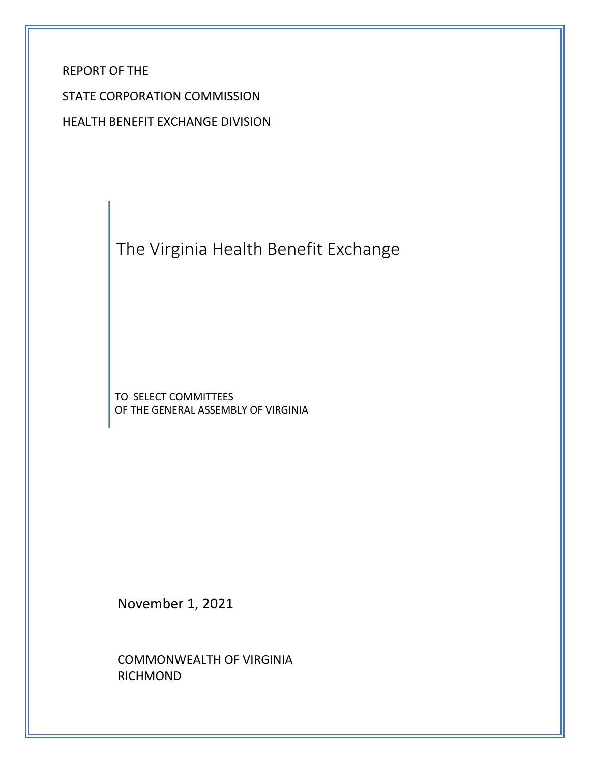REPORT OF THE

STATE CORPORATION COMMISSION

HEALTH BENEFIT EXCHANGE DIVISION

The Virginia Health Benefit Exchange

TO SELECT COMMITTEES OF THE GENERAL ASSEMBLY OF VIRGINIA

November 1, 2021

COMMONWEALTH OF VIRGINIA RICHMOND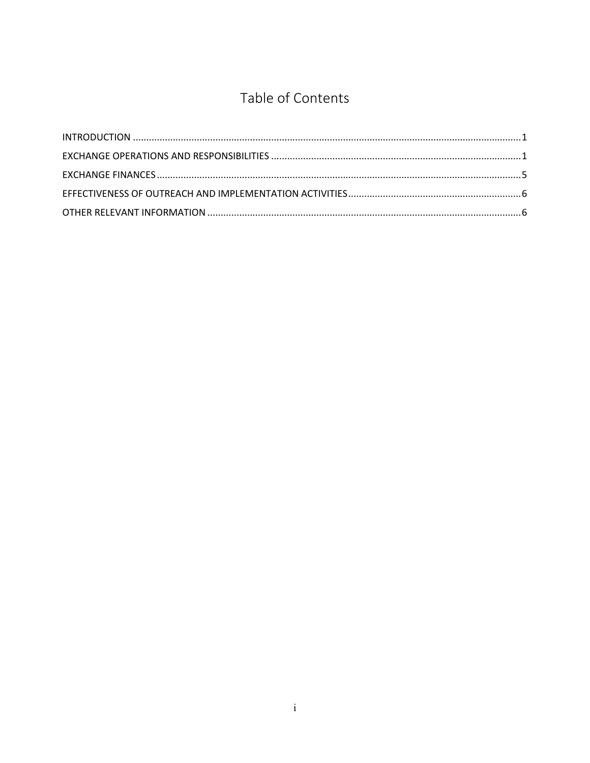# Table of Contents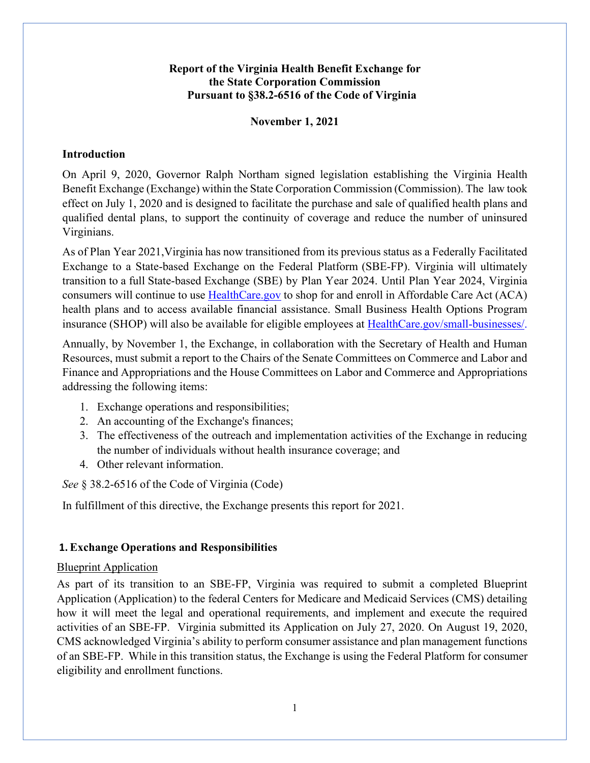## **Report of the Virginia Health Benefit Exchange for the State Corporation Commission Pursuant to §38.2-6516 of the Code of Virginia**

## **November 1, 2021**

#### <span id="page-2-0"></span>**Introduction**

On April 9, 2020, Governor Ralph Northam signed legislation establishing the Virginia Health Benefit Exchange (Exchange) within the State Corporation Commission (Commission). The law took effect on July 1, 2020 and is designed to facilitate the purchase and sale of qualified health plans and qualified dental plans, to support the continuity of coverage and reduce the number of uninsured Virginians.

As of Plan Year 2021,Virginia has now transitioned from its previous status as a Federally Facilitated Exchange to a State-based Exchange on the Federal Platform (SBE-FP). Virginia will ultimately transition to a full State-based Exchange (SBE) by Plan Year 2024. Until Plan Year 2024, Virginia consumers will continue to use **[HealthCare.gov](https://www.healthcare.gov/)** to shop for and enroll in Affordable Care Act (ACA) health plans and to access available financial assistance. Small Business Health Options Program insurance (SHOP) will also be available for eligible employees at [HealthCare.gov/small-businesses/.](https://www.healthcare.gov/small-businesses/) 

Annually, by November 1, the Exchange, in collaboration with the Secretary of Health and Human Resources, must submit a report to the Chairs of the Senate Committees on Commerce and Labor and Finance and Appropriations and the House Committees on Labor and Commerce and Appropriations addressing the following items:

- 1. Exchange operations and responsibilities;
- 2. An accounting of the Exchange's finances;
- 3. The effectiveness of the outreach and implementation activities of the Exchange in reducing the number of individuals without health insurance coverage; and
- 4. Other relevant information.

*See* § 38.2-6516 of the Code of Virginia (Code)

In fulfillment of this directive, the Exchange presents this report for 2021.

## **1.Exchange Operations and Responsibilities**

#### Blueprint Application

As part of its transition to an SBE-FP, Virginia was required to submit a completed Blueprint Application (Application) to the federal Centers for Medicare and Medicaid Services (CMS) detailing how it will meet the legal and operational requirements, and implement and execute the required activities of an SBE-FP. Virginia submitted its Application on July 27, 2020. On August 19, 2020, CMS acknowledged Virginia's ability to perform consumer assistance and plan management functions of an SBE-FP. While in this transition status, the Exchange is using the Federal Platform for consumer eligibility and enrollment functions.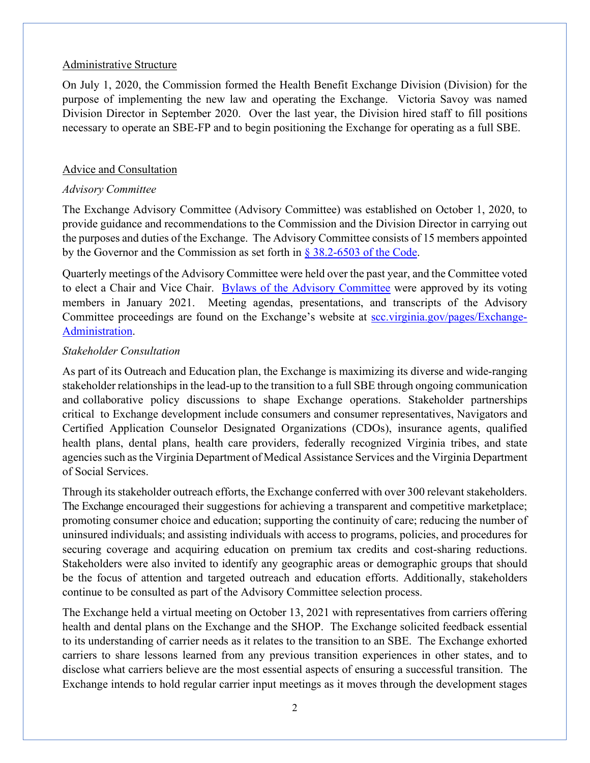#### Administrative Structure

On July 1, 2020, the Commission formed the Health Benefit Exchange Division (Division) for the purpose of implementing the new law and operating the Exchange. Victoria Savoy was named Division Director in September 2020. Over the last year, the Division hired staff to fill positions necessary to operate an SBE-FP and to begin positioning the Exchange for operating as a full SBE.

#### Advice and Consultation

## *Advisory Committee*

The Exchange Advisory Committee (Advisory Committee) was established on October 1, 2020, to provide guidance and recommendations to the Commission and the Division Director in carrying out the purposes and duties of the Exchange. The Advisory Committee consists of 15 members appointed by the Governor and the Commission as set forth in § [38.2-6503 of the Code.](https://law.lis.virginia.gov/vacode/title38.2/chapter65/section38.2-6503/)

Quarterly meetings of the Advisory Committee were held over the past year, and the Committee voted to elect a Chair and Vice Chair. [Bylaws of the Advisory Committee](https://www.scc.virginia.gov/getattachment/3c1b5b69-8bee-4b01-81ed-0971916d2c30/HBE-Advisory-Committee-Bylaws-Final.pdf) were approved by its voting members in January 2021. Meeting agendas, presentations, and transcripts of the Advisory Committee proceedings are found on the Exchange's website at [scc.virginia.gov/pages/Exchange-](https://www.scc.virginia.gov/pages/Exchange-Administration)[Administration.](https://www.scc.virginia.gov/pages/Exchange-Administration)

## *Stakeholder Consultation*

As part of its Outreach and Education plan, the Exchange is maximizing its diverse and wide-ranging stakeholder relationships in the lead-up to the transition to a full SBE through ongoing communication and collaborative policy discussions to shape Exchange operations. Stakeholder partnerships critical to Exchange development include consumers and consumer representatives, Navigators and Certified Application Counselor Designated Organizations (CDOs), insurance agents, qualified health plans, dental plans, health care providers, federally recognized Virginia tribes, and state agenciessuch asthe Virginia Department of Medical Assistance Services and the Virginia Department of Social Services.

Through its stakeholder outreach efforts, the Exchange conferred with over 300 relevant stakeholders. The Exchange encouraged their suggestions for achieving a transparent and competitive marketplace; promoting consumer choice and education; supporting the continuity of care; reducing the number of uninsured individuals; and assisting individuals with access to programs, policies, and procedures for securing coverage and acquiring education on premium tax credits and cost-sharing reductions. Stakeholders were also invited to identify any geographic areas or demographic groups that should be the focus of attention and targeted outreach and education efforts. Additionally, stakeholders continue to be consulted as part of the Advisory Committee selection process.

The Exchange held a virtual meeting on October 13, 2021 with representatives from carriers offering health and dental plans on the Exchange and the SHOP. The Exchange solicited feedback essential to its understanding of carrier needs as it relates to the transition to an SBE. The Exchange exhorted carriers to share lessons learned from any previous transition experiences in other states, and to disclose what carriers believe are the most essential aspects of ensuring a successful transition. The Exchange intends to hold regular carrier input meetings as it moves through the development stages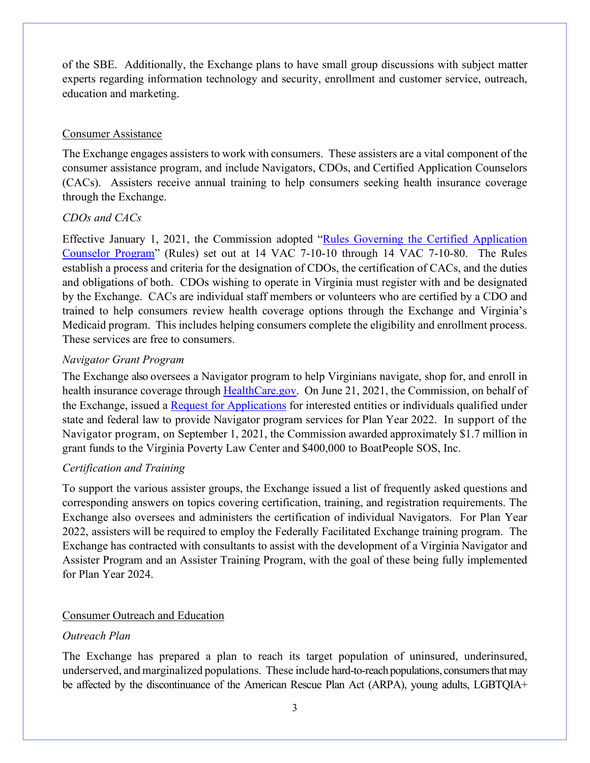of the SBE. Additionally, the Exchange plans to have small group discussions with subject matter experts regarding information technology and security, enrollment and customer service, outreach, education and marketing.

## Consumer Assistance

The Exchange engages assisters to work with consumers. These assisters are a vital component of the consumer assistance program, and include Navigators, CDOs, and Certified Application Counselors (CACs). Assisters receive annual training to help consumers seeking health insurance coverage through the Exchange.

## *CDOs and CACs*

Effective January 1, 2021, the Commission adopted ["Rules Governing the Certified Application](https://law.lis.virginia.gov/admincode/title14/agency7/chapter10/)  [Counselor Program"](https://law.lis.virginia.gov/admincode/title14/agency7/chapter10/) (Rules) set out at 14 VAC 7-10-10 through 14 VAC 7-10-80. The Rules establish a process and criteria for the designation of CDOs, the certification of CACs, and the duties and obligations of both. CDOs wishing to operate in Virginia must register with and be designated by the Exchange. CACs are individual staff members or volunteers who are certified by a CDO and trained to help consumers review health coverage options through the Exchange and Virginia's Medicaid program. This includes helping consumers complete the eligibility and enrollment process. These services are free to consumers.

## *Navigator Grant Program*

The Exchange also oversees a Navigator program to help Virginians navigate, shop for, and enroll in health insurance coverage through [HealthCare.gov.](http://healthcare.gov/) On June 21, 2021, the Commission, on behalf of the Exchange, issued a [Request for Applications](https://www.scc.virginia.gov/getattachment/d6533d7c-6c82-43d5-81ee-15711c8cc647/Navigator-Program-Req-App.pdf) for interested entities or individuals qualified under state and federal law to provide Navigator program services for Plan Year 2022. In support of the Navigator program, on September 1, 2021, the Commission awarded approximately \$1.7 million in grant funds to the Virginia Poverty Law Center and \$400,000 to BoatPeople SOS, Inc.

## *Certification and Training*

To support the various assister groups, the Exchange issued a list of frequently asked questions and corresponding answers on topics covering certification, training, and registration requirements. The Exchange also oversees and administers the certification of individual Navigators. For Plan Year 2022, assisters will be required to employ the Federally Facilitated Exchange training program. The Exchange has contracted with consultants to assist with the development of a Virginia Navigator and Assister Program and an Assister Training Program, with the goal of these being fully implemented for Plan Year 2024.

## Consumer Outreach and Education

## *Outreach Plan*

The Exchange has prepared a plan to reach its target population of uninsured, underinsured, underserved, and marginalized populations. These include hard-to-reach populations, consumers that may be affected by the discontinuance of the American Rescue Plan Act (ARPA), young adults, LGBTQIA+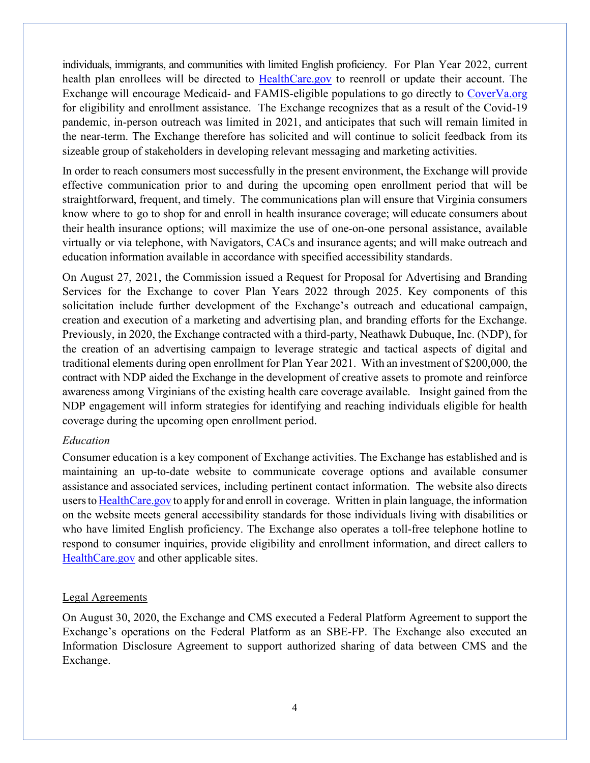individuals, immigrants, and communities with limited English proficiency. For Plan Year 2022, current health plan enrollees will be directed to [HealthCare.gov](http://healthcare.gov/) to reenroll or update their account. The Exchange will encourage Medicaid- and FAMIS-eligible populations to go directly to [CoverVa.org](http://www.coverva.org/) for eligibility and enrollment assistance. The Exchange recognizes that as a result of the Covid-19 pandemic, in-person outreach was limited in 2021, and anticipates that such will remain limited in the near-term. The Exchange therefore has solicited and will continue to solicit feedback from its sizeable group of stakeholders in developing relevant messaging and marketing activities.

In order to reach consumers most successfully in the present environment, the Exchange will provide effective communication prior to and during the upcoming open enrollment period that will be straightforward, frequent, and timely. The communications plan will ensure that Virginia consumers know where to go to shop for and enroll in health insurance coverage; will educate consumers about their health insurance options; will maximize the use of one-on-one personal assistance, available virtually or via telephone, with Navigators, CACs and insurance agents; and will make outreach and education information available in accordance with specified accessibility standards.

On August 27, 2021, the Commission issued a Request for Proposal for Advertising and Branding Services for the Exchange to cover Plan Years 2022 through 2025. Key components of this solicitation include further development of the Exchange's outreach and educational campaign, creation and execution of a marketing and advertising plan, and branding efforts for the Exchange. Previously, in 2020, the Exchange contracted with a third-party, Neathawk Dubuque, Inc. (NDP), for the creation of an advertising campaign to leverage strategic and tactical aspects of digital and traditional elements during open enrollment for Plan Year 2021. With an investment of \$200,000, the contract with NDP aided the Exchange in the development of creative assets to promote and reinforce awareness among Virginians of the existing health care coverage available. Insight gained from the NDP engagement will inform strategies for identifying and reaching individuals eligible for health coverage during the upcoming open enrollment period.

#### *Education*

Consumer education is a key component of Exchange activities. The Exchange has established and is maintaining an up-to-date website to communicate coverage options and available consumer assistance and associated services, including pertinent contact information. The website also directs usersto [HealthCare.gov](http://healthcare.gov/) to apply for and enroll in coverage. Written in plain language, the information on the website meets general accessibility standards for those individuals living with disabilities or who have limited English proficiency. The Exchange also operates a toll-free telephone hotline to respond to consumer inquiries, provide eligibility and enrollment information, and direct callers to [HealthCare.gov](http://healthcare.gov/) and other applicable sites.

#### Legal Agreements

On August 30, 2020, the Exchange and CMS executed a Federal Platform Agreement to support the Exchange's operations on the Federal Platform as an SBE-FP. The Exchange also executed an Information Disclosure Agreement to support authorized sharing of data between CMS and the Exchange.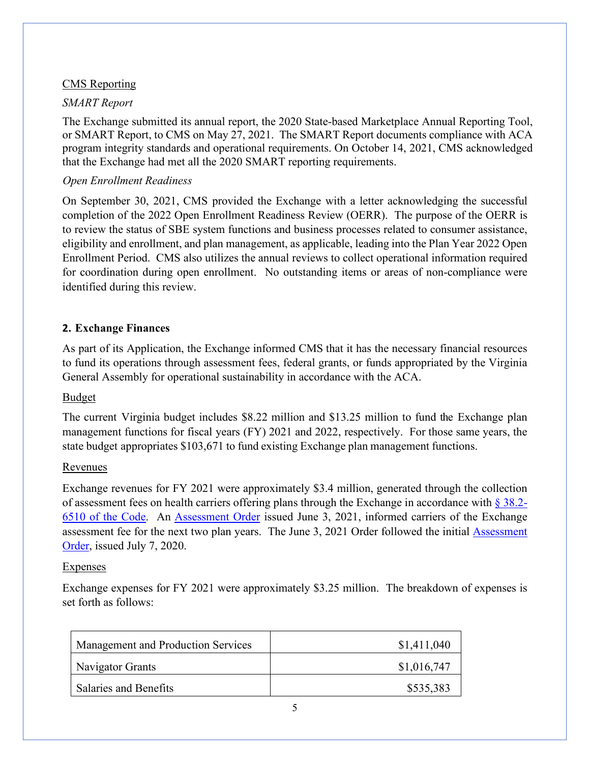## CMS Reporting

## *SMART Report*

The Exchange submitted its annual report, the 2020 State-based Marketplace Annual Reporting Tool, or SMART Report, to CMS on May 27, 2021. The SMART Report documents compliance with ACA program integrity standards and operational requirements. On October 14, 2021, CMS acknowledged that the Exchange had met all the 2020 SMART reporting requirements.

## *Open Enrollment Readiness*

On September 30, 2021, CMS provided the Exchange with a letter acknowledging the successful completion of the 2022 Open Enrollment Readiness Review (OERR). The purpose of the OERR is to review the status of SBE system functions and business processes related to consumer assistance, eligibility and enrollment, and plan management, as applicable, leading into the Plan Year 2022 Open Enrollment Period. CMS also utilizes the annual reviews to collect operational information required for coordination during open enrollment. No outstanding items or areas of non-compliance were identified during this review.

## **2. Exchange Finances**

As part of its Application, the Exchange informed CMS that it has the necessary financial resources to fund its operations through assessment fees, federal grants, or funds appropriated by the Virginia General Assembly for operational sustainability in accordance with the ACA.

#### Budget

The current Virginia budget includes \$8.22 million and \$13.25 million to fund the Exchange plan management functions for fiscal years (FY) 2021 and 2022, respectively. For those same years, the state budget appropriates \$103,671 to fund existing Exchange plan management functions.

#### Revenues

Exchange revenues for FY 2021 were approximately \$3.4 million, generated through the collection of assessment fees on health carriers offering plans through the Exchange in accordance with  $\S 38.2$ -[6510 of the Code.](https://law.lis.virginia.gov/vacode/title38.2/chapter65/section38.2-6510/) An [Assessment Order](https://www.scc.virginia.gov/getattachment/93822993-a8ac-49f6-af3a-27be558f169b/HBE-2021-00001-Assessment-Order.PDF) issued June 3, 2021, informed carriers of the Exchange assessment fee for the next two plan years. The June 3, 2021 Order followed the initial [Assessment](https://www.scc.virginia.gov/getattachment/ff140ecd-7c9c-4daa-9e1b-f2f6f9c7e4be/INS-2020-00118.pdf)  [Order,](https://www.scc.virginia.gov/getattachment/ff140ecd-7c9c-4daa-9e1b-f2f6f9c7e4be/INS-2020-00118.pdf) issued July 7, 2020.

#### **Expenses**

Exchange expenses for FY 2021 were approximately \$3.25 million. The breakdown of expenses is set forth as follows:

| Management and Production Services | \$1,411,040 |
|------------------------------------|-------------|
| Navigator Grants                   | \$1,016,747 |
| <b>Salaries and Benefits</b>       | \$535,383   |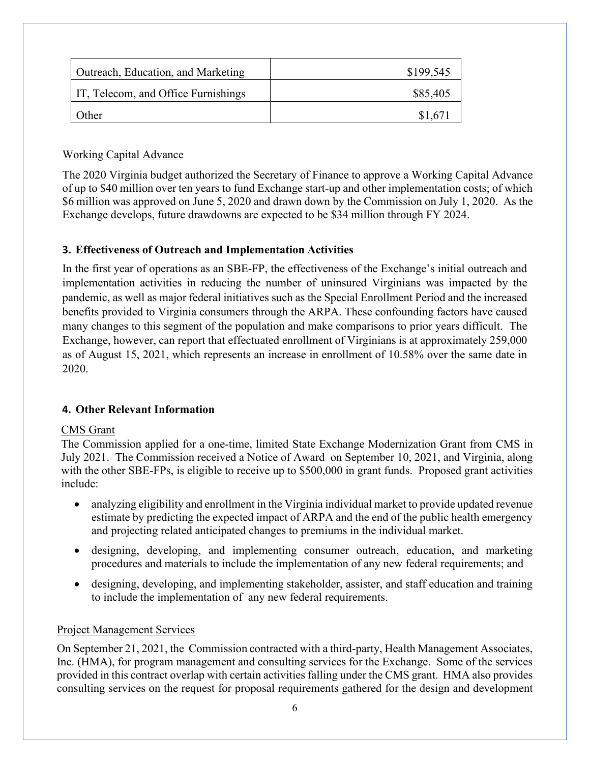| Outreach, Education, and Marketing  | \$199,545 |
|-------------------------------------|-----------|
| IT, Telecom, and Office Furnishings | \$85,405  |
| Other                               | \$1,671   |

## Working Capital Advance

The 2020 Virginia budget authorized the Secretary of Finance to approve a Working Capital Advance of up to \$40 million over ten years to fund Exchange start-up and other implementation costs; of which \$6 million was approved on June 5, 2020 and drawn down by the Commission on July 1, 2020. As the Exchange develops, future drawdowns are expected to be \$34 million through FY 2024.

## **3. Effectiveness of Outreach and Implementation Activities**

In the first year of operations as an SBE-FP, the effectiveness of the Exchange's initial outreach and implementation activities in reducing the number of uninsured Virginians was impacted by the pandemic, as well as major federal initiatives such as the Special Enrollment Period and the increased benefits provided to Virginia consumers through the ARPA. These confounding factors have caused many changes to this segment of the population and make comparisons to prior years difficult. The Exchange, however, can report that effectuated enrollment of Virginians is at approximately 259,000 as of August 15, 2021, which represents an increase in enrollment of 10.58% over the same date in 2020.

## **4. Other Relevant Information**

## CMS Grant

The Commission applied for a one-time, limited State Exchange Modernization Grant from CMS in July 2021. The Commission received a Notice of Award on September 10, 2021, and Virginia, along with the other SBE-FPs, is eligible to receive up to \$500,000 in grant funds. Proposed grant activities include:

- analyzing eligibility and enrollment in the Virginia individual market to provide updated revenue estimate by predicting the expected impact of ARPA and the end of the public health emergency and projecting related anticipated changes to premiums in the individual market.
- designing, developing, and implementing consumer outreach, education, and marketing procedures and materials to include the implementation of any new federal requirements; and
- designing, developing, and implementing stakeholder, assister, and staff education and training to include the implementation of any new federal requirements.

## Project Management Services

On September 21, 2021, the Commission contracted with a third-party, Health Management Associates, Inc. (HMA), for program management and consulting services for the Exchange. Some of the services provided in this contract overlap with certain activities falling under the CMS grant. HMA also provides consulting services on the request for proposal requirements gathered for the design and development